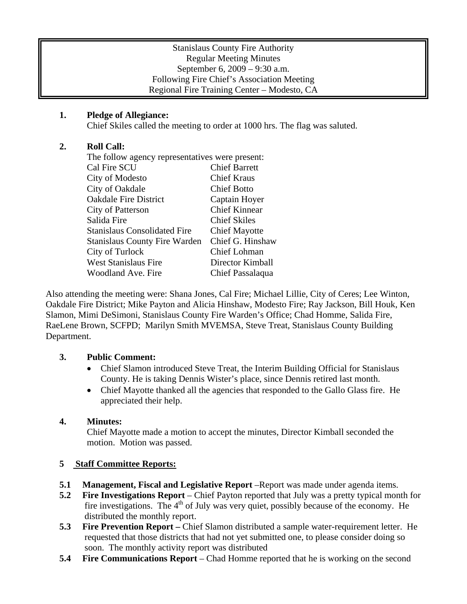### Stanislaus County Fire Authority Regular Meeting Minutes September 6, 2009 – 9:30 a.m. Following Fire Chief's Association Meeting Regional Fire Training Center – Modesto, CA

## **1. Pledge of Allegiance:**

Chief Skiles called the meeting to order at 1000 hrs. The flag was saluted.

## **2. Roll Call:**

| The follow agency representatives were present: |                      |
|-------------------------------------------------|----------------------|
| Cal Fire SCU                                    | <b>Chief Barrett</b> |
| City of Modesto                                 | <b>Chief Kraus</b>   |
| City of Oakdale                                 | <b>Chief Botto</b>   |
| <b>Oakdale Fire District</b>                    | Captain Hoyer        |
| City of Patterson                               | <b>Chief Kinnear</b> |
| Salida Fire                                     | <b>Chief Skiles</b>  |
| <b>Stanislaus Consolidated Fire</b>             | <b>Chief Mayotte</b> |
| <b>Stanislaus County Fire Warden</b>            | Chief G. Hinshaw     |
| City of Turlock                                 | Chief Lohman         |
| <b>West Stanislaus Fire</b>                     | Director Kimball     |
| Woodland Ave. Fire                              | Chief Passalaqua     |
|                                                 |                      |

Also attending the meeting were: Shana Jones, Cal Fire; Michael Lillie, City of Ceres; Lee Winton, Oakdale Fire District; Mike Payton and Alicia Hinshaw, Modesto Fire; Ray Jackson, Bill Houk, Ken Slamon, Mimi DeSimoni, Stanislaus County Fire Warden's Office; Chad Homme, Salida Fire, RaeLene Brown, SCFPD; Marilyn Smith MVEMSA, Steve Treat, Stanislaus County Building Department.

### **3. Public Comment:**

- Chief Slamon introduced Steve Treat, the Interim Building Official for Stanislaus County. He is taking Dennis Wister's place, since Dennis retired last month.
- Chief Mayotte thanked all the agencies that responded to the Gallo Glass fire. He appreciated their help.

# **4. Minutes:**

Chief Mayotte made a motion to accept the minutes, Director Kimball seconded the motion. Motion was passed.

# **5 Staff Committee Reports:**

- **5.1 Management, Fiscal and Legislative Report** –Report was made under agenda items.
- **5.2 Fire Investigations Report** Chief Payton reported that July was a pretty typical month for fire investigations. The  $4<sup>th</sup>$  of July was very quiet, possibly because of the economy. He distributed the monthly report.
- **5.3 Fire Prevention Report –** Chief Slamon distributed a sample water-requirement letter. He requested that those districts that had not yet submitted one, to please consider doing so soon. The monthly activity report was distributed
- **5.4 Fire Communications Report** Chad Homme reported that he is working on the second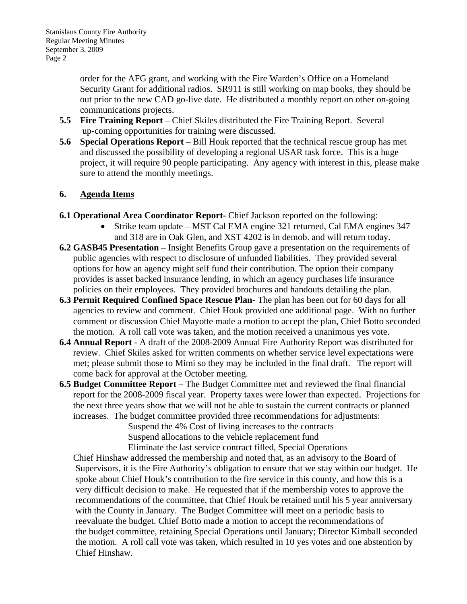order for the AFG grant, and working with the Fire Warden's Office on a Homeland Security Grant for additional radios. SR911 is still working on map books, they should be out prior to the new CAD go-live date. He distributed a monthly report on other on-going communications projects.

- **5.5 Fire Training Report** Chief Skiles distributed the Fire Training Report. Several up-coming opportunities for training were discussed.
- **5.6 Special Operations Report** Bill Houk reported that the technical rescue group has met and discussed the possibility of developing a regional USAR task force. This is a huge project, it will require 90 people participating. Any agency with interest in this, please make sure to attend the monthly meetings.

### **6. Agenda Items**

- **6.1 Operational Area Coordinator Report-** Chief Jackson reported on the following:
	- Strike team update MST Cal EMA engine 321 returned, Cal EMA engines 347 and 318 are in Oak Glen, and XST 4202 is in demob. and will return today.
- **6.2 GASB45 Presentation** Insight Benefits Group gave a presentation on the requirements of public agencies with respect to disclosure of unfunded liabilities. They provided several options for how an agency might self fund their contribution. The option their company provides is asset backed insurance lending, in which an agency purchases life insurance policies on their employees. They provided brochures and handouts detailing the plan.
- **6.3 Permit Required Confined Space Rescue Plan** The plan has been out for 60 days for all agencies to review and comment. Chief Houk provided one additional page. With no further comment or discussion Chief Mayotte made a motion to accept the plan, Chief Botto seconded the motion. A roll call vote was taken, and the motion received a unanimous yes vote.
- **6.4 Annual Report**  A draft of the 2008-2009 Annual Fire Authority Report was distributed for review. Chief Skiles asked for written comments on whether service level expectations were met; please submit those to Mimi so they may be included in the final draft. The report will come back for approval at the October meeting.
- **6.5 Budget Committee Report**  The Budget Committee met and reviewed the final financial report for the 2008-2009 fiscal year. Property taxes were lower than expected. Projections for the next three years show that we will not be able to sustain the current contracts or planned increases. The budget committee provided three recommendations for adjustments:

Suspend the 4% Cost of living increases to the contracts Suspend allocations to the vehicle replacement fund Eliminate the last service contract filled, Special Operations

 Chief Hinshaw addressed the membership and noted that, as an advisory to the Board of Supervisors, it is the Fire Authority's obligation to ensure that we stay within our budget. He spoke about Chief Houk's contribution to the fire service in this county, and how this is a very difficult decision to make. He requested that if the membership votes to approve the recommendations of the committee, that Chief Houk be retained until his 5 year anniversary with the County in January. The Budget Committee will meet on a periodic basis to reevaluate the budget. Chief Botto made a motion to accept the recommendations of the budget committee, retaining Special Operations until January; Director Kimball seconded the motion. A roll call vote was taken, which resulted in 10 yes votes and one abstention by Chief Hinshaw.